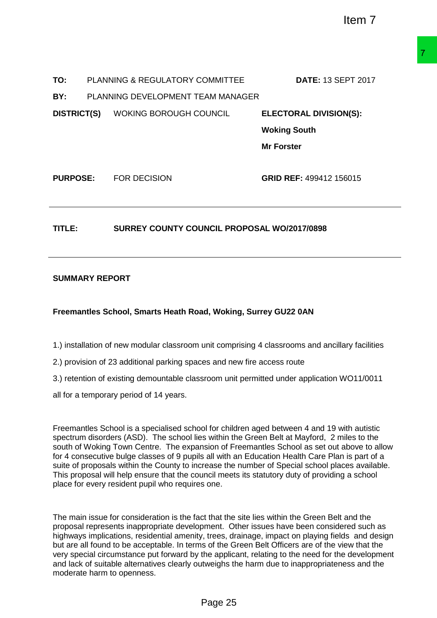| TO:                                                          |  | PLANNING & REGULATORY COMMITTEE                                                                                                                                                                                                                                                                                                                                                                                                                                                                                                                                                                                                                     | <b>DATE: 13 SEPT 2017</b>     |  |  |
|--------------------------------------------------------------|--|-----------------------------------------------------------------------------------------------------------------------------------------------------------------------------------------------------------------------------------------------------------------------------------------------------------------------------------------------------------------------------------------------------------------------------------------------------------------------------------------------------------------------------------------------------------------------------------------------------------------------------------------------------|-------------------------------|--|--|
| BY:                                                          |  | PLANNING DEVELOPMENT TEAM MANAGER                                                                                                                                                                                                                                                                                                                                                                                                                                                                                                                                                                                                                   |                               |  |  |
|                                                              |  | <b>DISTRICT(S)</b> WOKING BOROUGH COUNCIL                                                                                                                                                                                                                                                                                                                                                                                                                                                                                                                                                                                                           | <b>ELECTORAL DIVISION(S):</b> |  |  |
|                                                              |  |                                                                                                                                                                                                                                                                                                                                                                                                                                                                                                                                                                                                                                                     | <b>Woking South</b>           |  |  |
|                                                              |  |                                                                                                                                                                                                                                                                                                                                                                                                                                                                                                                                                                                                                                                     | <b>Mr Forster</b>             |  |  |
|                                                              |  | <b>PURPOSE: FOR DECISION</b>                                                                                                                                                                                                                                                                                                                                                                                                                                                                                                                                                                                                                        | GRID REF: 499412 156015       |  |  |
| <b>SURREY COUNTY COUNCIL PROPOSAL WO/2017/0898</b><br>TITLE: |  |                                                                                                                                                                                                                                                                                                                                                                                                                                                                                                                                                                                                                                                     |                               |  |  |
| <b>SUMMARY REPORT</b>                                        |  |                                                                                                                                                                                                                                                                                                                                                                                                                                                                                                                                                                                                                                                     |                               |  |  |
|                                                              |  | Freemantles School, Smarts Heath Road, Woking, Surrey GU22 0AN                                                                                                                                                                                                                                                                                                                                                                                                                                                                                                                                                                                      |                               |  |  |
|                                                              |  | 1.) installation of new modular classroom unit comprising 4 classrooms and ancillary facilities                                                                                                                                                                                                                                                                                                                                                                                                                                                                                                                                                     |                               |  |  |
|                                                              |  | 2.) provision of 23 additional parking spaces and new fire access route                                                                                                                                                                                                                                                                                                                                                                                                                                                                                                                                                                             |                               |  |  |
|                                                              |  | 3.) retention of existing demountable classroom unit permitted under application WO11/0011                                                                                                                                                                                                                                                                                                                                                                                                                                                                                                                                                          |                               |  |  |
|                                                              |  | all for a temporary period of 14 years.                                                                                                                                                                                                                                                                                                                                                                                                                                                                                                                                                                                                             |                               |  |  |
|                                                              |  | Freemantles School is a specialised school for children aged between 4 and 19 with autistic<br>spectrum disorders (ASD). The school lies within the Green Belt at Mayford, 2 miles to the<br>south of Woking Town Centre. The expansion of Freemantles School as set out above to allow<br>for 4 consecutive bulge classes of 9 pupils all with an Education Health Care Plan is part of a<br>suite of proposals within the County to increase the number of Special school places available.<br>This proposal will help ensure that the council meets its statutory duty of providing a school<br>place for every resident pupil who requires one. |                               |  |  |
|                                                              |  | The main issue for consideration is the fact that the site lies within the Green Belt and the<br>proposal represents inappropriate development. Other issues have been considered such as<br>highways implications, residential amenity, trees, drainage, impact on playing fields and design<br>but are all found to be acceptable. In terms of the Green Belt Officers are of the view that the<br>very special circumstance put forward by the applicant, relating to the need for the development<br>and lack of suitable alternatives clearly outweighs the harm due to inappropriateness and the<br>moderate harm to openness.                |                               |  |  |
|                                                              |  | Page 25                                                                                                                                                                                                                                                                                                                                                                                                                                                                                                                                                                                                                                             |                               |  |  |

## **TITLE: SURREY COUNTY COUNCIL PROPOSAL WO/2017/0898**

## **SUMMARY REPORT**

## **Freemantles School, Smarts Heath Road, Woking, Surrey GU22 0AN**

- 2.) provision of 23 additional parking spaces and new fire access route
- 3.) retention of existing demountable classroom unit permitted under application WO11/0011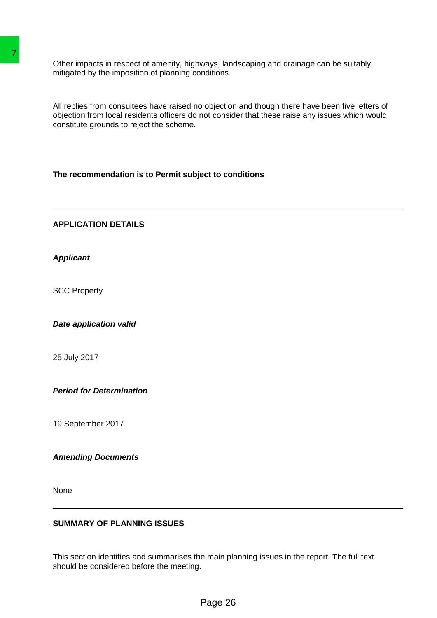Other impacts in respect of amenity, highways, landscaping and drainage can be suitably mitigated by the imposition of planning conditions.

All replies from consultees have raised no objection and though there have been five letters of objection from local residents officers do not consider that these raise any issues which would constitute grounds to reject the scheme. Their impacts in respect of amenity, highways, land<br>miligated by the imposition of planning conditions.<br>All replies from consultees have raised no objection<br>colpiciton from local rosidents officers do not consider<br>consider

**The recommendation is to Permit subject to conditions**

**APPLICATION DETAILS**

*Applicant*

SCC Property

*Date application valid*

25 July 2017

*Period for Determination*

19 September 2017

*Amending Documents*

None

## **SUMMARY OF PLANNING ISSUES**

This section identifies and summarises the main planning issues in the report. The full text should be considered before the meeting.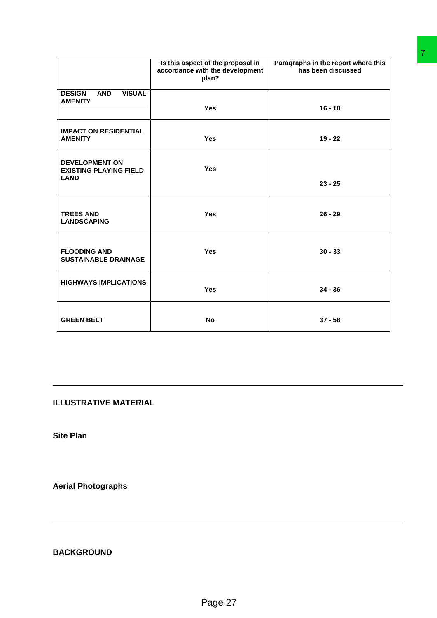|                                                                       | Is this aspect of the proposal in<br>accordance with the development<br>plan? | Paragraphs in the report where this<br>has been discussed |
|-----------------------------------------------------------------------|-------------------------------------------------------------------------------|-----------------------------------------------------------|
| <b>VISUAL</b><br><b>DESIGN</b><br><b>AND</b><br><b>AMENITY</b>        | Yes                                                                           | $16 - 18$                                                 |
| <b>IMPACT ON RESIDENTIAL</b><br><b>AMENITY</b>                        | Yes                                                                           | $19 - 22$                                                 |
| <b>DEVELOPMENT ON</b><br><b>EXISTING PLAYING FIELD</b><br><b>LAND</b> | Yes                                                                           |                                                           |
|                                                                       |                                                                               | $23 - 25$                                                 |
| <b>TREES AND</b><br><b>LANDSCAPING</b>                                | Yes                                                                           | $26 - 29$                                                 |
| <b>FLOODING AND</b><br><b>SUSTAINABLE DRAINAGE</b>                    | Yes                                                                           | $30 - 33$                                                 |
| <b>HIGHWAYS IMPLICATIONS</b>                                          | Yes                                                                           | $34 - 36$                                                 |
| <b>GREEN BELT</b>                                                     | No                                                                            | $37 - 58$                                                 |
| <b>LLUSTRATIVE MATERIAL</b><br>Site Plan                              |                                                                               |                                                           |
| <b>Aerial Photographs</b>                                             |                                                                               |                                                           |
| <b>BACKGROUND</b>                                                     |                                                                               |                                                           |
|                                                                       | Page 27                                                                       |                                                           |

**Site Plan**

**Aerial Photographs**

**BACKGROUND**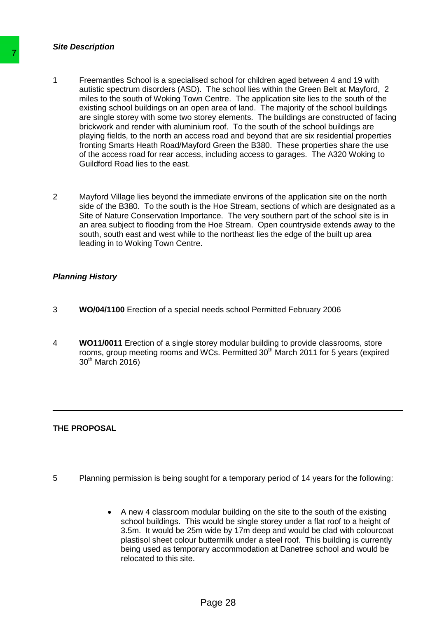#### *Site Description*

- 1 Freemantles School is a specialised school for children aged between 4 and 19 with autistic spectrum disorders (ASD). The school lies within the Green Belt at Mayford, 2 miles to the south of Woking Town Centre. The application site lies to the south of the existing school buildings on an open area of land. The majority of the school buildings are single storey with some two storey elements. The buildings are constructed of facing brickwork and render with aluminium roof. To the south of the school buildings are playing fields, to the north an access road and beyond that are six residential properties fronting Smarts Heath Road/Mayford Green the B380. These properties share the use of the access road for rear access, including access to garages. The A320 Woking to Guildford Road lies to the east. The Freemanties School is a specialised school<br>
autistic spectrum disorders (ASD). The schi<br>
meles to the south of Woking Town Centre.<br>
series the south of Woking Town Centre.<br>
are single store buttown at once the protocol
	- 2 Mayford Village lies beyond the immediate environs of the application site on the north side of the B380. To the south is the Hoe Stream, sections of which are designated as a Site of Nature Conservation Importance. The very southern part of the school site is in an area subject to flooding from the Hoe Stream. Open countryside extends away to the south, south east and west while to the northeast lies the edge of the built up area leading in to Woking Town Centre.

## *Planning History*

- 3 **WO/04/1100** Erection of a special needs school Permitted February 2006
- 4 **WO11/0011** Erection of a single storey modular building to provide classrooms, store rooms, group meeting rooms and WCs. Permitted 30<sup>th</sup> March 2011 for 5 years (expired 30<sup>th</sup> March 2016)

## **THE PROPOSAL**

- 5 Planning permission is being sought for a temporary period of 14 years for the following:
	- A new 4 classroom modular building on the site to the south of the existing school buildings. This would be single storey under a flat roof to a height of 3.5m. It would be 25m wide by 17m deep and would be clad with colourcoat plastisol sheet colour buttermilk under a steel roof. This building is currently being used as temporary accommodation at Danetree school and would be relocated to this site.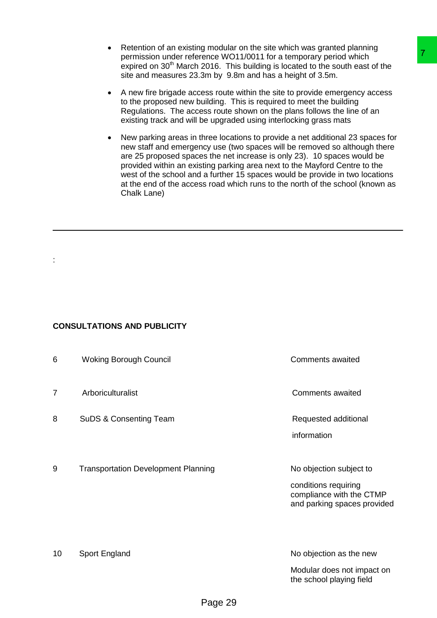- Retention of an existing modular on the site which was granted planning permission under reference WO11/0011 for a temporary period which expired on 30<sup>th</sup> March 2016. This building is located to the south east of the site and measures 23.3m by 9.8m and has a height of 3.5m.
- A new fire brigade access route within the site to provide emergency access to the proposed new building. This is required to meet the building Regulations. The access route shown on the plans follows the line of an existing track and will be upgraded using interlocking grass mats
- New parking areas in three locations to provide a net additional 23 spaces for new staff and emergency use (two spaces will be removed so although there are 25 proposed spaces the net increase is only 23). 10 spaces would be provided within an existing parking area next to the Mayford Centre to the west of the school and a further 15 spaces would be provide in two locations at the end of the access road which runs to the north of the school (known as Chalk Lane)

## **CONSULTATIONS AND PUBLICITY**

|                                                                                                                                                                                                                                                                                                                 | permission under reference WO11/0011 for a temporary period which<br>site and measures 23.3m by 9.8m and has a height of 3.5m. | on or an oxiomig modular on the oller which was granted planning<br>expired on 30 <sup>th</sup> March 2016. This building is located to the south east of the                                                                                                                                                                                                                                                                                                                         |  |  |  |  |
|-----------------------------------------------------------------------------------------------------------------------------------------------------------------------------------------------------------------------------------------------------------------------------------------------------------------|--------------------------------------------------------------------------------------------------------------------------------|---------------------------------------------------------------------------------------------------------------------------------------------------------------------------------------------------------------------------------------------------------------------------------------------------------------------------------------------------------------------------------------------------------------------------------------------------------------------------------------|--|--|--|--|
| A new fire brigade access route within the site to provide emergency access<br>$\bullet$<br>to the proposed new building. This is required to meet the building<br>Regulations. The access route shown on the plans follows the line of an<br>existing track and will be upgraded using interlocking grass mats |                                                                                                                                |                                                                                                                                                                                                                                                                                                                                                                                                                                                                                       |  |  |  |  |
|                                                                                                                                                                                                                                                                                                                 | Chalk Lane)                                                                                                                    | New parking areas in three locations to provide a net additional 23 spaces for<br>new staff and emergency use (two spaces will be removed so although there<br>are 25 proposed spaces the net increase is only 23). 10 spaces would be<br>provided within an existing parking area next to the Mayford Centre to the<br>west of the school and a further 15 spaces would be provide in two locations<br>at the end of the access road which runs to the north of the school (known as |  |  |  |  |
|                                                                                                                                                                                                                                                                                                                 |                                                                                                                                |                                                                                                                                                                                                                                                                                                                                                                                                                                                                                       |  |  |  |  |
|                                                                                                                                                                                                                                                                                                                 |                                                                                                                                |                                                                                                                                                                                                                                                                                                                                                                                                                                                                                       |  |  |  |  |
|                                                                                                                                                                                                                                                                                                                 |                                                                                                                                |                                                                                                                                                                                                                                                                                                                                                                                                                                                                                       |  |  |  |  |
|                                                                                                                                                                                                                                                                                                                 |                                                                                                                                |                                                                                                                                                                                                                                                                                                                                                                                                                                                                                       |  |  |  |  |
| <b>CONSULTATIONS AND PUBLICITY</b>                                                                                                                                                                                                                                                                              |                                                                                                                                |                                                                                                                                                                                                                                                                                                                                                                                                                                                                                       |  |  |  |  |
| 6                                                                                                                                                                                                                                                                                                               | <b>Woking Borough Council</b>                                                                                                  | <b>Comments awaited</b>                                                                                                                                                                                                                                                                                                                                                                                                                                                               |  |  |  |  |
| 7                                                                                                                                                                                                                                                                                                               | Arboriculturalist                                                                                                              | <b>Comments awaited</b>                                                                                                                                                                                                                                                                                                                                                                                                                                                               |  |  |  |  |
| 8                                                                                                                                                                                                                                                                                                               | <b>SuDS &amp; Consenting Team</b>                                                                                              | Requested additional                                                                                                                                                                                                                                                                                                                                                                                                                                                                  |  |  |  |  |
|                                                                                                                                                                                                                                                                                                                 |                                                                                                                                | information                                                                                                                                                                                                                                                                                                                                                                                                                                                                           |  |  |  |  |
| 9                                                                                                                                                                                                                                                                                                               | <b>Transportation Development Planning</b>                                                                                     | No objection subject to                                                                                                                                                                                                                                                                                                                                                                                                                                                               |  |  |  |  |
|                                                                                                                                                                                                                                                                                                                 |                                                                                                                                | conditions requiring<br>compliance with the CTMP<br>and parking spaces provided                                                                                                                                                                                                                                                                                                                                                                                                       |  |  |  |  |
|                                                                                                                                                                                                                                                                                                                 |                                                                                                                                |                                                                                                                                                                                                                                                                                                                                                                                                                                                                                       |  |  |  |  |
| 10                                                                                                                                                                                                                                                                                                              | Sport England                                                                                                                  | No objection as the new<br>Modular does not impact on                                                                                                                                                                                                                                                                                                                                                                                                                                 |  |  |  |  |
|                                                                                                                                                                                                                                                                                                                 |                                                                                                                                | the school playing field                                                                                                                                                                                                                                                                                                                                                                                                                                                              |  |  |  |  |
|                                                                                                                                                                                                                                                                                                                 | Page 29                                                                                                                        |                                                                                                                                                                                                                                                                                                                                                                                                                                                                                       |  |  |  |  |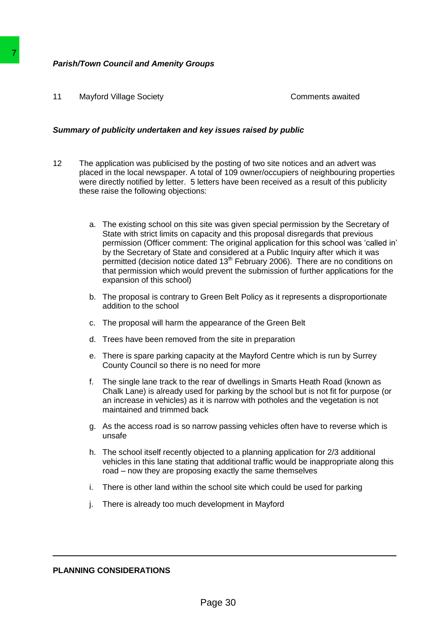## *Parish/Town Council and Amenity Groups*

11 Mayford Village Society **Comments awaited** Comments awaited

### *Summary of publicity undertaken and key issues raised by public*

- 12 The application was publicised by the posting of two site notices and an advert was placed in the local newspaper*.* A total of 109 owner/occupiers of neighbouring properties were directly notified by letter. 5 letters have been received as a result of this publicity these raise the following objections:
- a. The existing school on this site was given special permission by the Secretary of State with strict limits on capacity and this proposal disregards that previous permission (Officer comment: The original application for this school was 'called in' by the Secretary of State and considered at a Public Inquiry after which it was permitted (decision notice dated 13<sup>th</sup> February 2006). There are no conditions on that permission which would prevent the submission of further applications for the expansion of this school) **Parish/Town Council and Amenity Groups**<br>
11 Mayford Village Society<br>
Summary of publicity undertaken and key issue<br>
12 The application was publicised by the positive and in the local newspaper. A total of 103<br>
12 The appl
	- b. The proposal is contrary to Green Belt Policy as it represents a disproportionate addition to the school
	- c. The proposal will harm the appearance of the Green Belt
	- d. Trees have been removed from the site in preparation
	- e. There is spare parking capacity at the Mayford Centre which is run by Surrey County Council so there is no need for more
	- f. The single lane track to the rear of dwellings in Smarts Heath Road (known as Chalk Lane) is already used for parking by the school but is not fit for purpose (or an increase in vehicles) as it is narrow with potholes and the vegetation is not maintained and trimmed back
	- g. As the access road is so narrow passing vehicles often have to reverse which is unsafe
	- h. The school itself recently objected to a planning application for 2/3 additional vehicles in this lane stating that additional traffic would be inappropriate along this road – now they are proposing exactly the same themselves
	- i. There is other land within the school site which could be used for parking
	- j. There is already too much development in Mayford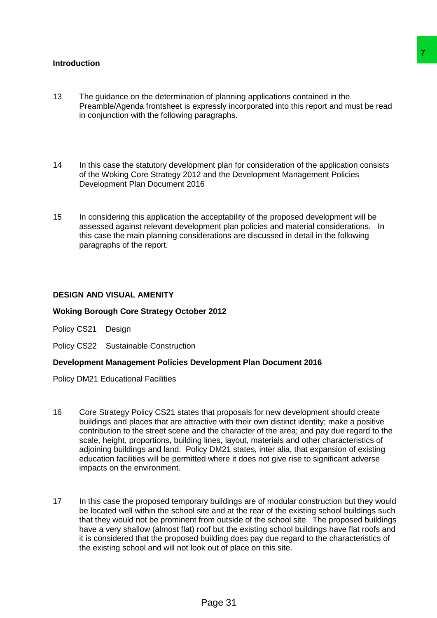### **Introduction**

- 13 The guidance on the determination of planning applications contained in the Preamble/Agenda frontsheet is expressly incorporated into this report and must be read in conjunction with the following paragraphs.
- 14 In this case the statutory development plan for consideration of the application consists of the Woking Core Strategy 2012 and the Development Management Policies Development Plan Document 2016
- 15 In considering this application the acceptability of the proposed development will be assessed against relevant development plan policies and material considerations. In this case the main planning considerations are discussed in detail in the following paragraphs of the report.

#### **DESIGN AND VISUAL AMENITY**

#### **Woking Borough Core Strategy October 2012**

Policy CS21 Design

Policy CS22 Sustainable Construction

#### **Development Management Policies Development Plan Document 2016**

Policy DM21 Educational Facilities

- 16 Core Strategy Policy CS21 states that proposals for new development should create buildings and places that are attractive with their own distinct identity; make a positive contribution to the street scene and the character of the area; and pay due regard to the scale, height, proportions, building lines, layout, materials and other characteristics of adjoining buildings and land. Policy DM21 states, inter alia, that expansion of existing education facilities will be permitted where it does not give rise to significant adverse impacts on the environment. The planning applications contained in the<br>pressly incorporated into this report and must be read<br>pragraphs.<br>
The proposition of the application consists<br>
and the Development Management Policies<br>
B<br>
acceptability of the pr
- 17 In this case the proposed temporary buildings are of modular construction but they would be located well within the school site and at the rear of the existing school buildings such that they would not be prominent from outside of the school site. The proposed buildings have a very shallow (almost flat) roof but the existing school buildings have flat roofs and it is considered that the proposed building does pay due regard to the characteristics of the existing school and will not look out of place on this site.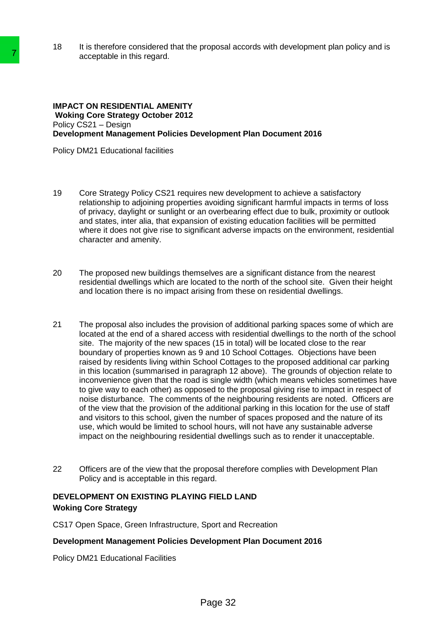18 It is therefore considered that the proposal accords with development plan policy and is acceptable in this regard.

#### **IMPACT ON RESIDENTIAL AMENITY Woking Core Strategy October 2012**  Policy CS21 – Design **Development Management Policies Development Plan Document 2016**

Policy DM21 Educational facilities

- 19 Core Strategy Policy CS21 requires new development to achieve a satisfactory relationship to adjoining properties avoiding significant harmful impacts in terms of loss of privacy, daylight or sunlight or an overbearing effect due to bulk, proximity or outlook and states, inter alia, that expansion of existing education facilities will be permitted where it does not give rise to significant adverse impacts on the environment, residential character and amenity.
- 20 The proposed new buildings themselves are a significant distance from the nearest residential dwellings which are located to the north of the school site. Given their height and location there is no impact arising from these on residential dwellings.
- 21 The proposal also includes the provision of additional parking spaces some of which are located at the end of a shared access with residential dwellings to the north of the school site. The majority of the new spaces (15 in total) will be located close to the rear boundary of properties known as 9 and 10 School Cottages. Objections have been raised by residents living within School Cottages to the proposed additional car parking in this location (summarised in paragraph 12 above). The grounds of objection relate to inconvenience given that the road is single width (which means vehicles sometimes have to give way to each other) as opposed to the proposal giving rise to impact in respect of noise disturbance. The comments of the neighbouring residents are noted. Officers are of the view that the provision of the additional parking in this location for the use of staff and visitors to this school, given the number of spaces proposed and the nature of its use, which would be limited to school hours, will not have any sustainable adverse impact on the neighbouring residential dwellings such as to render it unacceptable. acceptable in this regard.<br>
MPACT ON RESIDENTIAL AMENITY<br>
Weking Core Strategy October 2012<br>
Policy CS21 - Dasieny October 2012<br>
Policy CS21 - Dasieny October 2012<br>
Policy CS21 - Dasieny October 2012<br>
Policy CM21 Education
	- 22 Officers are of the view that the proposal therefore complies with Development Plan Policy and is acceptable in this regard.

# **DEVELOPMENT ON EXISTING PLAYING FIELD LAND Woking Core Strategy**

CS17 Open Space, Green Infrastructure, Sport and Recreation

## **Development Management Policies Development Plan Document 2016**

Policy DM21 Educational Facilities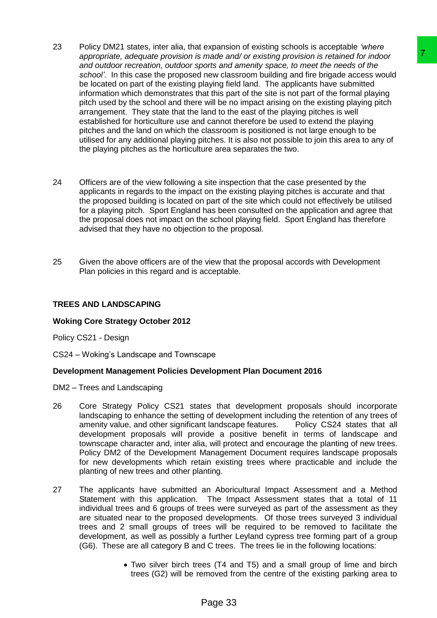- 23 Policy DM21 states, inter alia, that expansion of existing schools is acceptable *'where appropriate, adequate provision is made and/ or existing provision is retained for indoor and outdoor recreation, outdoor sports and amenity space, to meet the needs of the school'*. In this case the proposed new classroom building and fire brigade access would be located on part of the existing playing field land. The applicants have submitted information which demonstrates that this part of the site is not part of the formal playing pitch used by the school and there will be no impact arising on the existing playing pitch arrangement. They state that the land to the east of the playing pitches is well established for horticulture use and cannot therefore be used to extend the playing pitches and the land on which the classroom is positioned is not large enough to be utilised for any additional playing pitches. It is also not possible to join this area to any of the playing pitches as the horticulture area separates the two. made and/or exacting provision is retained for indoce<br>or and amend to some the media of the interest and amend for the media of the<br>order and amendy space, to meet the needs of the<br>new classes would<br>laying field land. The
- 24 Officers are of the view following a site inspection that the case presented by the applicants in regards to the impact on the existing playing pitches is accurate and that the proposed building is located on part of the site which could not effectively be utilised for a playing pitch. Sport England has been consulted on the application and agree that the proposal does not impact on the school playing field. Sport England has therefore advised that they have no objection to the proposal.
- 25 Given the above officers are of the view that the proposal accords with Development Plan policies in this regard and is acceptable.

## **TREES AND LANDSCAPING**

## **Woking Core Strategy October 2012**

Policy CS21 - Design

CS24 – Woking's Landscape and Townscape

## **Development Management Policies Development Plan Document 2016**

- DM2 Trees and Landscaping
- 26 Core Strategy Policy CS21 states that development proposals should incorporate landscaping to enhance the setting of development including the retention of any trees of amenity value, and other significant landscape features. Policy CS24 states that all development proposals will provide a positive benefit in terms of landscape and townscape character and, inter alia, will protect and encourage the planting of new trees. Policy DM2 of the Development Management Document requires landscape proposals for new developments which retain existing trees where practicable and include the planting of new trees and other planting.
- 27 The applicants have submitted an Aboricultural Impact Assessment and a Method Statement with this application. The Impact Assessment states that a total of 11 individual trees and 6 groups of trees were surveyed as part of the assessment as they are situated near to the proposed developments. Of those trees surveyed 3 individual trees and 2 small groups of trees will be required to be removed to facilitate the development, as well as possibly a further Leyland cypress tree forming part of a group (G6). These are all category B and C trees. The trees lie in the following locations:
	- Two silver birch trees (T4 and T5) and a small group of lime and birch trees (G2) will be removed from the centre of the existing parking area to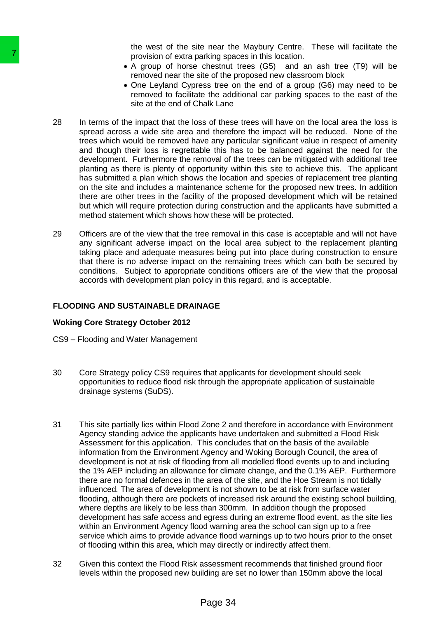the west of the site near the Maybury Centre. These will facilitate the provision of extra parking spaces in this location.

- A group of horse chestnut trees (G5) and an ash tree (T9) will be removed near the site of the proposed new classroom block
- One Leyland Cypress tree on the end of a group (G6) may need to be removed to facilitate the additional car parking spaces to the east of the site at the end of Chalk Lane
- 28 In terms of the impact that the loss of these trees will have on the local area the loss is spread across a wide site area and therefore the impact will be reduced. None of the trees which would be removed have any particular significant value in respect of amenity and though their loss is regrettable this has to be balanced against the need for the development. Furthermore the removal of the trees can be mitigated with additional tree planting as there is plenty of opportunity within this site to achieve this. The applicant has submitted a plan which shows the location and species of replacement tree planting on the site and includes a maintenance scheme for the proposed new trees. In addition there are other trees in the facility of the proposed development which will be retained but which will require protection during construction and the applicants have submitted a method statement which shows how these will be protected.
- 29 Officers are of the view that the tree removal in this case is acceptable and will not have any significant adverse impact on the local area subject to the replacement planting taking place and adequate measures being put into place during construction to ensure that there is no adverse impact on the remaining trees which can both be secured by conditions. Subject to appropriate conditions officers are of the view that the proposal accords with development plan policy in this regard, and is acceptable.

## **FLOODING AND SUSTAINABLE DRAINAGE**

## **Woking Core Strategy October 2012**

- CS9 Flooding and Water Management
- 30 Core Strategy policy CS9 requires that applicants for development should seek opportunities to reduce flood risk through the appropriate application of sustainable drainage systems (SuDS).
- 31 This site partially lies within Flood Zone 2 and therefore in accordance with Environment Agency standing advice the applicants have undertaken and submitted a Flood Risk Assessment for this application. This concludes that on the basis of the available information from the Environment Agency and Woking Borough Council, the area of development is not at risk of flooding from all modelled flood events up to and including the 1% AEP including an allowance for climate change, and the 0.1% AEP. Furthermore there are no formal defences in the area of the site, and the Hoe Stream is not tidally influenced*.* The area of development is not shown to be at risk from surface water flooding, although there are pockets of increased risk around the existing school building, where depths are likely to be less than 300mm. In addition though the proposed development has safe access and egress during an extreme flood event, as the site lies within an Environment Agency flood warning area the school can sign up to a free service which aims to provide advance flood warnings up to two hours prior to the onset of flooding within this area, which may directly or indirectly affect them. The provision of extra particle and the spacing space of the space of the smooth mean of the smooth mean the sind of the set of the state of the state of the state of the state of the state of the state of the state of th
	- 32 Given this context the Flood Risk assessment recommends that finished ground floor levels within the proposed new building are set no lower than 150mm above the local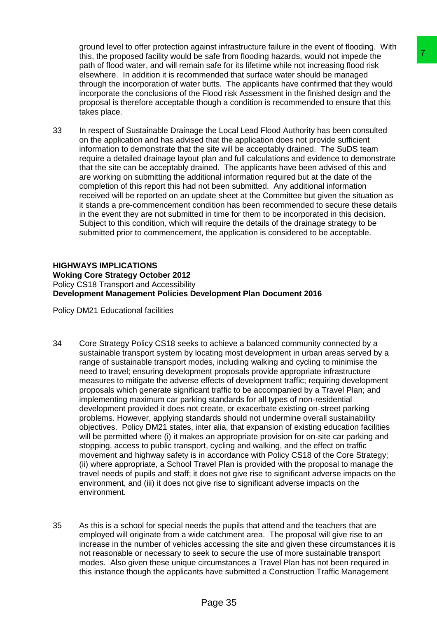ground level to offer protection against infrastructure failure in the event of flooding. With this, the proposed facility would be safe from flooding hazards, would not impede the path of flood water, and will remain safe for its lifetime while not increasing flood risk elsewhere. In addition it is recommended that surface water should be managed through the incorporation of water butts. The applicants have confirmed that they would incorporate the conclusions of the Flood risk Assessment in the finished design and the proposal is therefore acceptable though a condition is recommended to ensure that this takes place.

33 In respect of Sustainable Drainage the Local Lead Flood Authority has been consulted on the application and has advised that the application does not provide sufficient information to demonstrate that the site will be acceptably drained. The SuDS team require a detailed drainage layout plan and full calculations and evidence to demonstrate that the site can be acceptably drained. The applicants have been advised of this and are working on submitting the additional information required but at the date of the completion of this report this had not been submitted. Any additional information received will be reported on an update sheet at the Committee but given the situation as it stands a pre-commencement condition has been recommended to secure these details in the event they are not submitted in time for them to be incorporated in this decision. Subject to this condition, which will require the details of the drainage strategy to be submitted prior to commencement, the application is considered to be acceptable.

#### **HIGHWAYS IMPLICATIONS Woking Core Strategy October 2012**  Policy CS18 Transport and Accessibility **Development Management Policies Development Plan Document 2016**

Policy DM21 Educational facilities

- 34 Core Strategy Policy CS18 seeks to achieve a balanced community connected by a sustainable transport system by locating most development in urban areas served by a range of sustainable transport modes, including walking and cycling to minimise the need to travel; ensuring development proposals provide appropriate infrastructure measures to mitigate the adverse effects of development traffic; requiring development proposals which generate significant traffic to be accompanied by a Travel Plan; and implementing maximum car parking standards for all types of non-residential development provided it does not create, or exacerbate existing on-street parking problems. However, applying standards should not undermine overall sustainability objectives. Policy DM21 states, inter alia, that expansion of existing education facilities will be permitted where (i) it makes an appropriate provision for on-site car parking and stopping, access to public transport, cycling and walking, and the effect on traffic movement and highway safety is in accordance with Policy CS18 of the Core Strategy; (ii) where appropriate, a School Travel Plan is provided with the proposal to manage the travel needs of pupils and staff; it does not give rise to significant adverse impacts on the environment, and (iii) it does not give rise to significant adverse impacts on the environment. is rafe from flooding hazards, would not impeds the<br>sale for its lifetime while not increasing flood risk<br>as as as for its lifetime while not increasing flood risk<br>branded that surface water should be managed<br>butts. The ap
- 35 As this is a school for special needs the pupils that attend and the teachers that are employed will originate from a wide catchment area. The proposal will give rise to an increase in the number of vehicles accessing the site and given these circumstances it is not reasonable or necessary to seek to secure the use of more sustainable transport modes. Also given these unique circumstances a Travel Plan has not been required in this instance though the applicants have submitted a Construction Traffic Management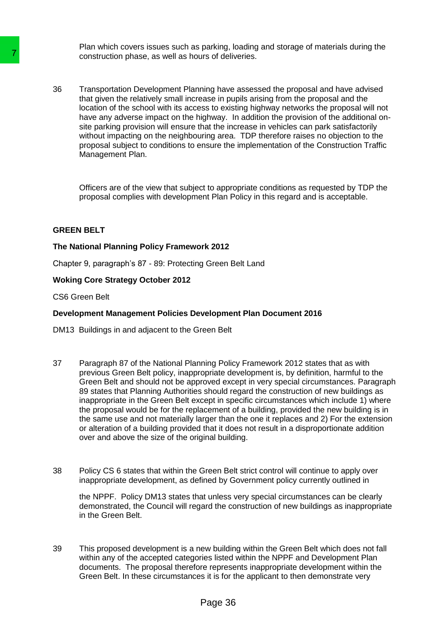Plan which covers issues such as parking, loading and storage of materials during the construction phase, as well as hours of deliveries.

36 Transportation Development Planning have assessed the proposal and have advised that given the relatively small increase in pupils arising from the proposal and the location of the school with its access to existing highway networks the proposal will not have any adverse impact on the highway. In addition the provision of the additional onsite parking provision will ensure that the increase in vehicles can park satisfactorily without impacting on the neighbouring area. TDP therefore raises no objection to the proposal subject to conditions to ensure the implementation of the Construction Traffic Management Plan.

Officers are of the view that subject to appropriate conditions as requested by TDP the proposal complies with development Plan Policy in this regard and is acceptable.

#### **GREEN BELT**

#### **The National Planning Policy Framework 2012**

Chapter 9, paragraph's 87 - 89: Protecting Green Belt Land

#### **Woking Core Strategy October 2012**

CS6 Green Belt

### **Development Management Policies Development Plan Document 2016**

DM13 Buildings in and adjacent to the Green Belt

- 37 Paragraph 87 of the National Planning Policy Framework 2012 states that as with previous Green Belt policy, inappropriate development is, by definition, harmful to the Green Belt and should not be approved except in very special circumstances. Paragraph 89 states that Planning Authorities should regard the construction of new buildings as inappropriate in the Green Belt except in specific circumstances which include 1) where the proposal would be for the replacement of a building, provided the new building is in the same use and not materially larger than the one it replaces and 2) For the extension or alteration of a building provided that it does not result in a disproportionate addition over and above the size of the original building. Construction phase, as well as hours of delivering that the MPs that diver the relatively small increase in pu<br>
that given the relatively small increase in pu<br>
the store of the school with his access to exist<br>
the store of
	- 38 Policy CS 6 states that within the Green Belt strict control will continue to apply over inappropriate development, as defined by Government policy currently outlined in

the NPPF. Policy DM13 states that unless very special circumstances can be clearly demonstrated, the Council will regard the construction of new buildings as inappropriate in the Green Belt.

39 This proposed development is a new building within the Green Belt which does not fall within any of the accepted categories listed within the NPPF and Development Plan documents. The proposal therefore represents inappropriate development within the Green Belt. In these circumstances it is for the applicant to then demonstrate very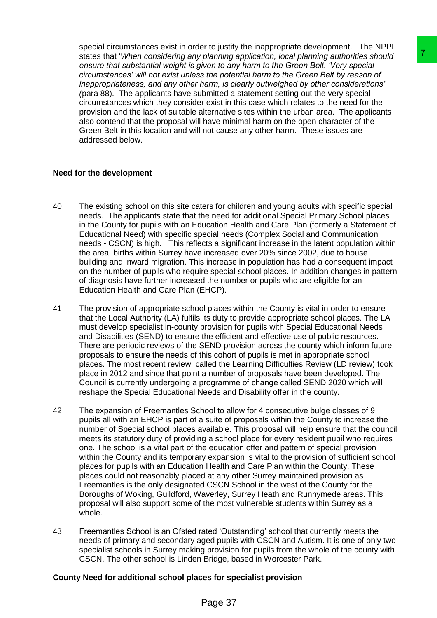special circumstances exist in order to justify the inappropriate development. The NPPF states that '*When considering any planning application, local planning authorities should ensure that substantial weight is given to any harm to the Green Belt. 'Very special circumstances' will not exist unless the potential harm to the Green Belt by reason of inappropriateness, and any other harm, is clearly outweighed by other considerations' (*para 88). The applicants have submitted a statement setting out the very special circumstances which they consider exist in this case which relates to the need for the provision and the lack of suitable alternative sites within the urban area. The applicants also contend that the proposal will have minimal harm on the open character of the Green Belt in this location and will not cause any other harm. These issues are addressed below.

## **Need for the development**

- 40 The existing school on this site caters for children and young adults with specific special needs. The applicants state that the need for additional Special Primary School places in the County for pupils with an Education Health and Care Plan (formerly a Statement of Educational Need) with specific special needs (Complex Social and Communication needs - CSCN) is high. This reflects a significant increase in the latent population within the area, births within Surrey have increased over 20% since 2002, due to house building and inward migration. This increase in population has had a consequent impact on the number of pupils who require special school places. In addition changes in pattern of diagnosis have further increased the number or pupils who are eligible for an Education Health and Care Plan (EHCP).
- 41 The provision of appropriate school places within the County is vital in order to ensure that the Local Authority (LA) fulfils its duty to provide appropriate school places. The LA must develop specialist in-county provision for pupils with Special Educational Needs and Disabilities (SEND) to ensure the efficient and effective use of public resources. There are periodic reviews of the SEND provision across the county which inform future proposals to ensure the needs of this cohort of pupils is met in appropriate school places. The most recent review, called the Learning Difficulties Review (LD review) took place in 2012 and since that point a number of proposals have been developed. The Council is currently undergoing a programme of change called SEND 2020 which will reshape the Special Educational Needs and Disability offer in the county.
- 42 The expansion of Freemantles School to allow for 4 consecutive bulge classes of 9 pupils all with an EHCP is part of a suite of proposals within the County to increase the number of Special school places available. This proposal will help ensure that the council meets its statutory duty of providing a school place for every resident pupil who requires one. The school is a vital part of the education offer and pattern of special provision within the County and its temporary expansion is vital to the provision of sufficient school places for pupils with an Education Health and Care Plan within the County. These places could not reasonably placed at any other Surrey maintained provision as Freemantles is the only designated CSCN School in the west of the County for the Boroughs of Woking, Guildford, Waverley, Surrey Heath and Runnymede areas. This proposal will also support some of the most vulnerable students within Surrey as a whole. planing application, local planning authoric school<br>tiven to any harm to the Green Belt. "Very special<br>time to any harm to the Green Belt. "Very special<br>harm, is clearly outweighed by other considerations"<br>therm, is clearl
- 43 Freemantles School is an Ofsted rated 'Outstanding' school that currently meets the needs of primary and secondary aged pupils with CSCN and Autism. It is one of only two specialist schools in Surrey making provision for pupils from the whole of the county with CSCN. The other school is Linden Bridge, based in Worcester Park.

## **County Need for additional school places for specialist provision**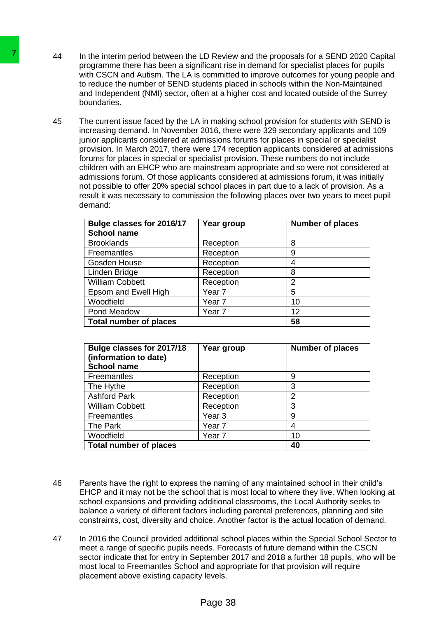- 44 In the interim period between the LD Review and the proposals for a SEND 2020 Capital programme there has been a significant rise in demand for specialist places for pupils with CSCN and Autism. The LA is committed to improve outcomes for young people and to reduce the number of SEND students placed in schools within the Non-Maintained and Independent (NMI) sector, often at a higher cost and located outside of the Surrey boundaries.
- 45 The current issue faced by the LA in making school provision for students with SEND is increasing demand. In November 2016, there were 329 secondary applicants and 109 junior applicants considered at admissions forums for places in special or specialist provision. In March 2017, there were 174 reception applicants considered at admissions forums for places in special or specialist provision. These numbers do not include children with an EHCP who are mainstream appropriate and so were not considered at admissions forum. Of those applicants considered at admissions forum, it was initially not possible to offer 20% special school places in part due to a lack of provision. As a result it was necessary to commission the following places over two years to meet pupil demand: 44 In the interim pariod between the LD Review of the Marin parison of the microsoft of the CSN and Autism. The LA is committed to reduce the number of SEND students parameters to reduce the number of SEND students plane b

| Bulge classes for 2016/17<br><b>School name</b> | Year group        | <b>Number of places</b> |
|-------------------------------------------------|-------------------|-------------------------|
| <b>Brooklands</b>                               | Reception         | 8                       |
| Freemantles                                     | Reception         | 9                       |
| Gosden House                                    | Reception         | 4                       |
| Linden Bridge                                   | Reception         | 8                       |
| <b>William Cobbett</b>                          | Reception         | 2                       |
| Epsom and Ewell High                            | Year 7            | 5                       |
| Woodfield                                       | Year <sub>7</sub> | 10                      |
| Pond Meadow                                     | Year 7            | 12                      |
| <b>Total number of places</b>                   |                   | 58                      |

| Bulge classes for 2017/18<br>(information to date)<br><b>School name</b> | Year group        | <b>Number of places</b> |
|--------------------------------------------------------------------------|-------------------|-------------------------|
| <b>Freemantles</b>                                                       | Reception         | 9                       |
| The Hythe                                                                | Reception         | 3                       |
| <b>Ashford Park</b>                                                      | Reception         | 2                       |
| <b>William Cobbett</b>                                                   | Reception         | 3                       |
| Freemantles                                                              | Year 3            | 9                       |
| The Park                                                                 | Year <sub>7</sub> | 4                       |
| Woodfield                                                                | Year 7            | 10                      |
| <b>Total number of places</b>                                            | 40                |                         |

- 46 Parents have the right to express the naming of any maintained school in their child's EHCP and it may not be the school that is most local to where they live. When looking at school expansions and providing additional classrooms, the Local Authority seeks to balance a variety of different factors including parental preferences, planning and site constraints, cost, diversity and choice. Another factor is the actual location of demand.
- 47 In 2016 the Council provided additional school places within the Special School Sector to meet a range of specific pupils needs. Forecasts of future demand within the CSCN sector indicate that for entry in September 2017 and 2018 a further 18 pupils, who will be most local to Freemantles School and appropriate for that provision will require placement above existing capacity levels.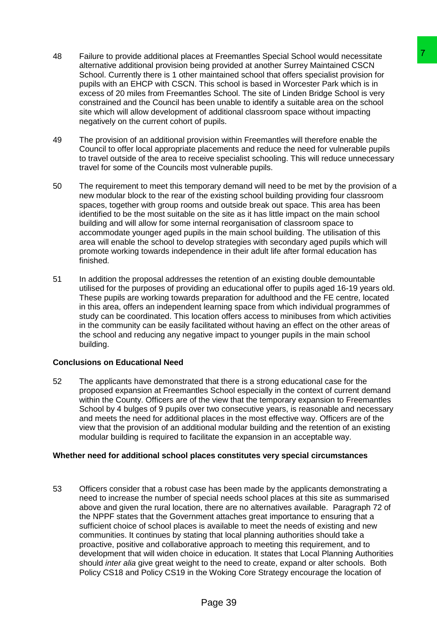- 48 Failure to provide additional places at Freemantles Special School would necessitate alternative additional provision being provided at another Surrey Maintained CSCN School. Currently there is 1 other maintained school that offers specialist provision for pupils with an EHCP with CSCN. This school is based in Worcester Park which is in excess of 20 miles from Freemantles School. The site of Linden Bridge School is very constrained and the Council has been unable to identify a suitable area on the school site which will allow development of additional classroom space without impacting negatively on the current cohort of pupils.
- 49 The provision of an additional provision within Freemantles will therefore enable the Council to offer local appropriate placements and reduce the need for vulnerable pupils to travel outside of the area to receive specialist schooling. This will reduce unnecessary travel for some of the Councils most vulnerable pupils.
- 50 The requirement to meet this temporary demand will need to be met by the provision of a new modular block to the rear of the existing school building providing four classroom spaces, together with group rooms and outside break out space. This area has been identified to be the most suitable on the site as it has little impact on the main school building and will allow for some internal reorganisation of classroom space to accommodate younger aged pupils in the main school building. The utilisation of this area will enable the school to develop strategies with secondary aged pupils which will promote working towards independence in their adult life after formal education has finished.
- 51 In addition the proposal addresses the retention of an existing double demountable utilised for the purposes of providing an educational offer to pupils aged 16-19 years old. These pupils are working towards preparation for adulthood and the FE centre, located in this area, offers an independent learning space from which individual programmes of study can be coordinated. This location offers access to minibuses from which activities in the community can be easily facilitated without having an effect on the other areas of the school and reducing any negative impact to younger pupils in the main school building.

## **Conclusions on Educational Need**

52 The applicants have demonstrated that there is a strong educational case for the proposed expansion at Freemantles School especially in the context of current demand within the County. Officers are of the view that the temporary expansion to Freemantles School by 4 bulges of 9 pupils over two consecutive years, is reasonable and necessary and meets the need for additional places in the most effective way. Officers are of the view that the provision of an additional modular building and the retention of an existing modular building is required to facilitate the expansion in an acceptable way.

## **Whether need for additional school places constitutes very special circumstances**

53 Officers consider that a robust case has been made by the applicants demonstrating a need to increase the number of special needs school places at this site as summarised above and given the rural location, there are no alternatives available. Paragraph 72 of the NPPF states that the Government attaches great importance to ensuring that a sufficient choice of school places is available to meet the needs of existing and new communities. It continues by stating that local planning authorities should take a proactive, positive and collaborative approach to meeting this requirement, and to development that will widen choice in education. It states that Local Planning Authorities should *inter alia* give great weight to the need to create, expand or alter schools. Both Policy CS18 and Policy CS19 in the Woking Core Strategy encourage the location of s at Freemanties Special School would necessitate<br>In a provided at another Surray Maintained CSCN<br>maintained achou that offers specialist provision for<br>This school is based in Worcester Park which is in<br>This school is base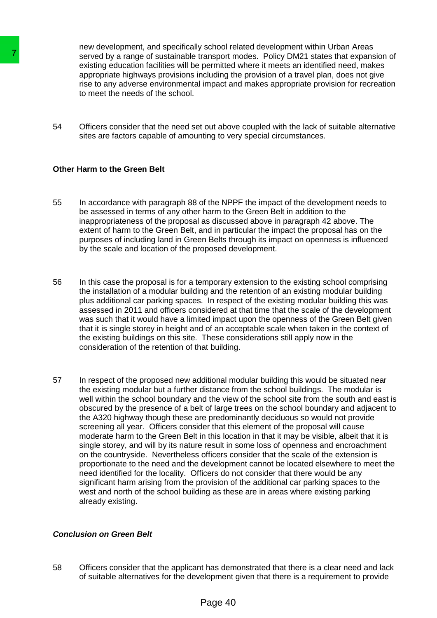new development, and specifically school related development within Urban Areas served by a range of sustainable transport modes. Policy DM21 states that expansion of existing education facilities will be permitted where it meets an identified need, makes appropriate highways provisions including the provision of a travel plan, does not give rise to any adverse environmental impact and makes appropriate provision for recreation to meet the needs of the school.

54 Officers consider that the need set out above coupled with the lack of suitable alternative sites are factors capable of amounting to very special circumstances.

## **Other Harm to the Green Belt**

- 55 In accordance with paragraph 88 of the NPPF the impact of the development needs to be assessed in terms of any other harm to the Green Belt in addition to the inappropriateness of the proposal as discussed above in paragraph 42 above. The extent of harm to the Green Belt, and in particular the impact the proposal has on the purposes of including land in Green Belts through its impact on openness is influenced by the scale and location of the proposed development.
- 56 In this case the proposal is for a temporary extension to the existing school comprising the installation of a modular building and the retention of an existing modular building plus additional car parking spaces. In respect of the existing modular building this was assessed in 2011 and officers considered at that time that the scale of the development was such that it would have a limited impact upon the openness of the Green Belt given that it is single storey in height and of an acceptable scale when taken in the context of the existing buildings on this site. These considerations still apply now in the consideration of the retention of that building.
- 57 In respect of the proposed new additional modular building this would be situated near the existing modular but a further distance from the school buildings. The modular is well within the school boundary and the view of the school site from the south and east is obscured by the presence of a belt of large trees on the school boundary and adjacent to the A320 highway though these are predominantly deciduous so would not provide screening all year. Officers consider that this element of the proposal will cause moderate harm to the Green Belt in this location in that it may be visible, albeit that it is single storey, and will by its nature result in some loss of openness and encroachment on the countryside. Nevertheless officers consider that the scale of the extension is proportionate to the need and the development cannot be located elsewhere to meet the need identified for the locality. Officers do not consider that there would be any significant harm arising from the provision of the additional car parking spaces to the west and north of the school building as these are in areas where existing parking already existing. Facebook by a range of sustainable fransport<br>sexisting education facilities will be permitted<br>apsion education facilities will be permitted<br>appropriate ingluents and the permitted<br>appropriate ingluent and the section and t

## *Conclusion on Green Belt*

58 Officers consider that the applicant has demonstrated that there is a clear need and lack of suitable alternatives for the development given that there is a requirement to provide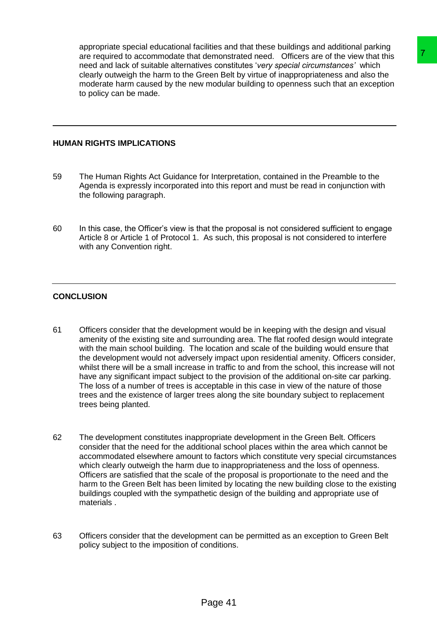appropriate special educational facilities and that these buildings and additional parking are required to accommodate that demonstrated need. Officers are of the view that this need and lack of suitable alternatives constitutes '*very special circumstances'* which clearly outweigh the harm to the Green Belt by virtue of inappropriateness and also the moderate harm caused by the new modular building to openness such that an exception to policy can be made.

## **HUMAN RIGHTS IMPLICATIONS**

- 59 The Human Rights Act Guidance for Interpretation, contained in the Preamble to the Agenda is expressly incorporated into this report and must be read in conjunction with the following paragraph.
- 60 In this case, the Officer's view is that the proposal is not considered sufficient to engage Article 8 or Article 1 of Protocol 1. As such, this proposal is not considered to interfere with any Convention right.

## **CONCLUSION**

- 61 Officers consider that the development would be in keeping with the design and visual amenity of the existing site and surrounding area. The flat roofed design would integrate with the main school building. The location and scale of the building would ensure that the development would not adversely impact upon residential amenity. Officers consider, whilst there will be a small increase in traffic to and from the school, this increase will not have any significant impact subject to the provision of the additional on-site car parking. The loss of a number of trees is acceptable in this case in view of the nature of those trees and the existence of larger trees along the site boundary subject to replacement trees being planted. demonstrated mead. Officeias are of the view that this<br>resonatistic mead. Officeias are of the view that this<br>resonalities 'very special circumstances' which<br>interiors and the yield mean set of the view that the resonance<br>
- 62 The development constitutes inappropriate development in the Green Belt. Officers consider that the need for the additional school places within the area which cannot be accommodated elsewhere amount to factors which constitute very special circumstances which clearly outweigh the harm due to inappropriateness and the loss of openness. Officers are satisfied that the scale of the proposal is proportionate to the need and the harm to the Green Belt has been limited by locating the new building close to the existing buildings coupled with the sympathetic design of the building and appropriate use of materials .
- 63 Officers consider that the development can be permitted as an exception to Green Belt policy subject to the imposition of conditions.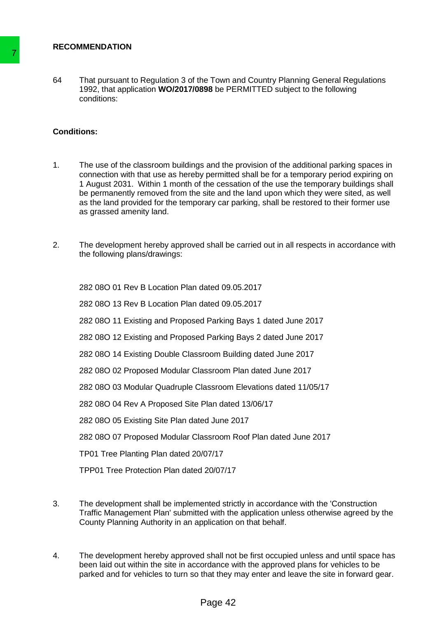### **RECOMMENDATION**

64 That pursuant to Regulation 3 of the Town and Country Planning General Regulations 1992, that application **WO/2017/0898** be PERMITTED subject to the following conditions:

## **Conditions:**

- 1. The use of the classroom buildings and the provision of the additional parking spaces in connection with that use as hereby permitted shall be for a temporary period expiring on 1 August 2031. Within 1 month of the cessation of the use the temporary buildings shall be permanently removed from the site and the land upon which they were sited, as well as the land provided for the temporary car parking, shall be restored to their former use as grassed amenity land. Transmission of the Republican of the Town and S92 1 That pursuant to Republican 3 of the Town and policies:<br>
Conditions:<br>
The use of the classroom buildings and the connection with tratiuse as hereby permitte<br>
1. The use
	- 2. The development hereby approved shall be carried out in all respects in accordance with the following plans/drawings:

282 08O 01 Rev B Location Plan dated 09.05.2017

282 08O 13 Rev B Location Plan dated 09.05.2017

282 08O 11 Existing and Proposed Parking Bays 1 dated June 2017

282 08O 12 Existing and Proposed Parking Bays 2 dated June 2017

282 08O 14 Existing Double Classroom Building dated June 2017

282 08O 02 Proposed Modular Classroom Plan dated June 2017

282 08O 03 Modular Quadruple Classroom Elevations dated 11/05/17

282 08O 04 Rev A Proposed Site Plan dated 13/06/17

282 08O 05 Existing Site Plan dated June 2017

282 08O 07 Proposed Modular Classroom Roof Plan dated June 2017

TP01 Tree Planting Plan dated 20/07/17

TPP01 Tree Protection Plan dated 20/07/17

- 3. The development shall be implemented strictly in accordance with the 'Construction Traffic Management Plan' submitted with the application unless otherwise agreed by the County Planning Authority in an application on that behalf.
- 4. The development hereby approved shall not be first occupied unless and until space has been laid out within the site in accordance with the approved plans for vehicles to be parked and for vehicles to turn so that they may enter and leave the site in forward gear.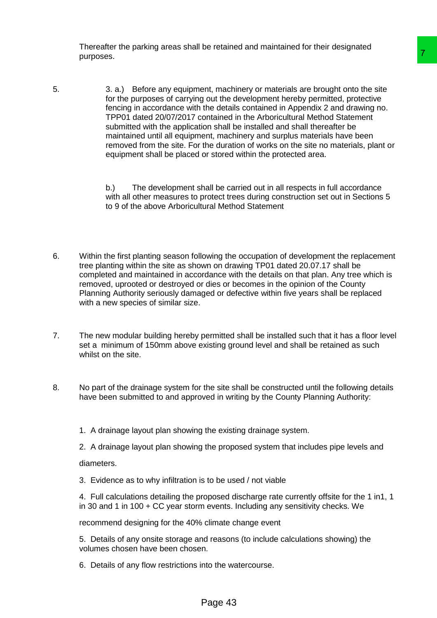Thereafter the parking areas shall be retained and maintained for their designated purposes.

5. 3. a.) Before any equipment, machinery or materials are brought onto the site for the purposes of carrying out the development hereby permitted, protective fencing in accordance with the details contained in Appendix 2 and drawing no. TPP01 dated 20/07/2017 contained in the Arboricultural Method Statement submitted with the application shall be installed and shall thereafter be maintained until all equipment, machinery and surplus materials have been removed from the site. For the duration of works on the site no materials, plant or equipment shall be placed or stored within the protected area. Figure 11 matching or materials are brought onto the site of out the development hereby permitted, protective<br>the development hereby permitted, protective<br>contained in the Arboricultural Mehnd Statement<br>contained in the Ar

b.) The development shall be carried out in all respects in full accordance with all other measures to protect trees during construction set out in Sections 5 to 9 of the above Arboricultural Method Statement

- 6. Within the first planting season following the occupation of development the replacement tree planting within the site as shown on drawing TP01 dated 20.07.17 shall be completed and maintained in accordance with the details on that plan. Any tree which is removed, uprooted or destroyed or dies or becomes in the opinion of the County Planning Authority seriously damaged or defective within five years shall be replaced with a new species of similar size.
- 7. The new modular building hereby permitted shall be installed such that it has a floor level set a minimum of 150mm above existing ground level and shall be retained as such whilst on the site.
- 8. No part of the drainage system for the site shall be constructed until the following details have been submitted to and approved in writing by the County Planning Authority:
	- 1. A drainage layout plan showing the existing drainage system.
	- 2. A drainage layout plan showing the proposed system that includes pipe levels and

diameters.

3. Evidence as to why infiltration is to be used / not viable

4. Full calculations detailing the proposed discharge rate currently offsite for the 1 in1, 1 in 30 and 1 in 100 + CC year storm events. Including any sensitivity checks. We

recommend designing for the 40% climate change event

5. Details of any onsite storage and reasons (to include calculations showing) the volumes chosen have been chosen.

6. Details of any flow restrictions into the watercourse.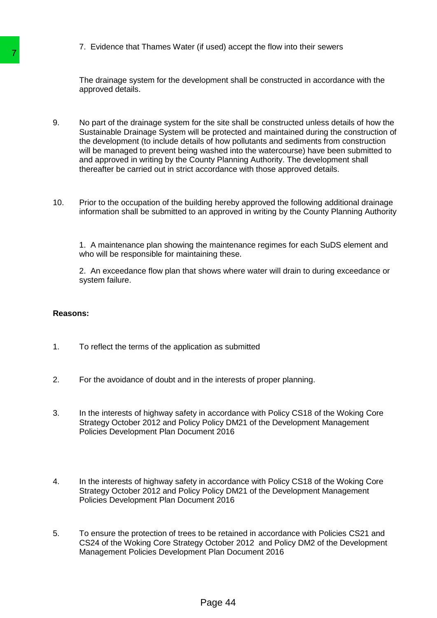7. Evidence that Thames Water (if used) accept the flow into their sewers

The drainage system for the development shall be constructed in accordance with the approved details.

- 9. No part of the drainage system for the site shall be constructed unless details of how the Sustainable Drainage System will be protected and maintained during the construction of the development (to include details of how pollutants and sediments from construction will be managed to prevent being washed into the watercourse) have been submitted to and approved in writing by the County Planning Authority. The development shall thereafter be carried out in strict accordance with those approved details. The drainage system for the development slapper of the development slapper of the development slapper of the development (to include details of how pull the development (to include details of how pull the development (to i
	- 10. Prior to the occupation of the building hereby approved the following additional drainage information shall be submitted to an approved in writing by the County Planning Authority

1. A maintenance plan showing the maintenance regimes for each SuDS element and who will be responsible for maintaining these.

2. An exceedance flow plan that shows where water will drain to during exceedance or system failure.

## **Reasons:**

- 1. To reflect the terms of the application as submitted
- 2. For the avoidance of doubt and in the interests of proper planning.
- 3. In the interests of highway safety in accordance with Policy CS18 of the Woking Core Strategy October 2012 and Policy Policy DM21 of the Development Management Policies Development Plan Document 2016
- 4. In the interests of highway safety in accordance with Policy CS18 of the Woking Core Strategy October 2012 and Policy Policy DM21 of the Development Management Policies Development Plan Document 2016
- 5. To ensure the protection of trees to be retained in accordance with Policies CS21 and CS24 of the Woking Core Strategy October 2012 and Policy DM2 of the Development Management Policies Development Plan Document 2016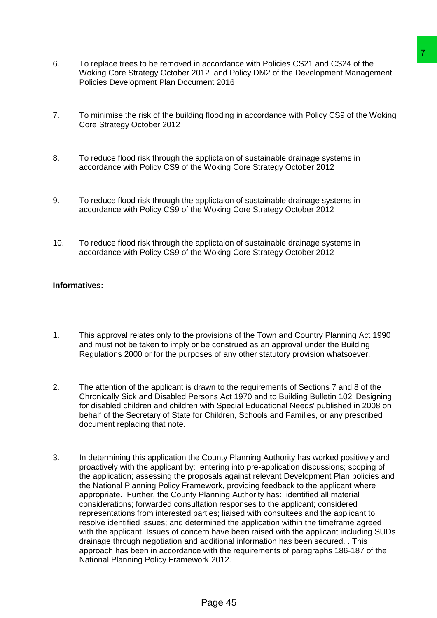- 6. To replace trees to be removed in accordance with Policies CS21 and CS24 of the Woking Core Strategy October 2012 and Policy DM2 of the Development Management Policies Development Plan Document 2016
- 7. To minimise the risk of the building flooding in accordance with Policy CS9 of the Woking Core Strategy October 2012
- 8. To reduce flood risk through the applictaion of sustainable drainage systems in accordance with Policy CS9 of the Woking Core Strategy October 2012
- 9. To reduce flood risk through the applictaion of sustainable drainage systems in accordance with Policy CS9 of the Woking Core Strategy October 2012
- 10. To reduce flood risk through the applictaion of sustainable drainage systems in accordance with Policy CS9 of the Woking Core Strategy October 2012

## **Informatives:**

- 1. This approval relates only to the provisions of the Town and Country Planning Act 1990 and must not be taken to imply or be construed as an approval under the Building Regulations 2000 or for the purposes of any other statutory provision whatsoever.
- 2. The attention of the applicant is drawn to the requirements of Sections 7 and 8 of the Chronically Sick and Disabled Persons Act 1970 and to Building Bulletin 102 'Designing for disabled children and children with Special Educational Needs' published in 2008 on behalf of the Secretary of State for Children, Schools and Families, or any prescribed document replacing that note.
- 3. In determining this application the County Planning Authority has worked positively and proactively with the applicant by: entering into pre-application discussions; scoping of the application; assessing the proposals against relevant Development Plan policies and the National Planning Policy Framework, providing feedback to the applicant where appropriate. Further, the County Planning Authority has: identified all material considerations; forwarded consultation responses to the applicant; considered representations from interested parties; liaised with consultees and the applicant to resolve identified issues; and determined the application within the timeframe agreed with the applicant. Issues of concern have been raised with the applicant including SUDs drainage through negotiation and additional information has been secured. . This approach has been in accordance with the requirements of paragraphs 186-187 of the National Planning Policy Framework 2012. accordance with Policies CS21 and CS24 of the<br>12 and Policy DM2 of the Development Management<br>ent 2016<br>flooding in accordance with Policy CS9 of the Woking<br>flooding in accordance with Policy CS9 of the Woking<br>policitaion o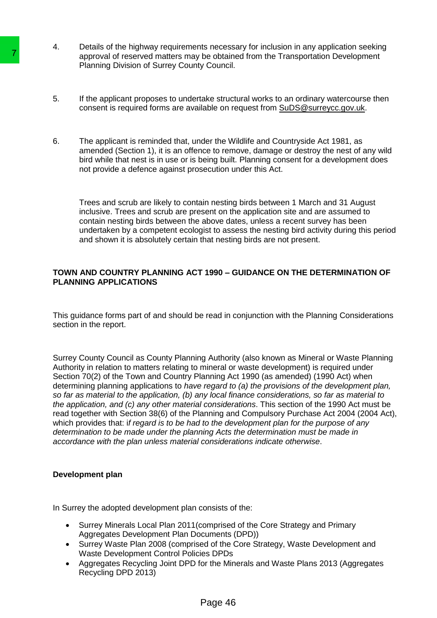- 4. Details of the highway requirements necessary for inclusion in any application seeking approval of reserved matters may be obtained from the Transportation Development Planning Division of Surrey County Council.
- 5. If the applicant proposes to undertake structural works to an ordinary watercourse then consent is required forms are available on request from [SuDS@surreycc.gov.uk.](mailto:SuDS@surreycc.gov.uk)
- 6. The applicant is reminded that, under the Wildlife and Countryside Act 1981, as amended (Section 1), it is an offence to remove, damage or destroy the nest of any wild bird while that nest is in use or is being built. Planning consent for a development does not provide a defence against prosecution under this Act.

Trees and scrub are likely to contain nesting birds between 1 March and 31 August inclusive. Trees and scrub are present on the application site and are assumed to contain nesting birds between the above dates, unless a recent survey has been undertaken by a competent ecologist to assess the nesting bird activity during this period and shown it is absolutely certain that nesting birds are not present.

## **TOWN AND COUNTRY PLANNING ACT 1990 – GUIDANCE ON THE DETERMINATION OF PLANNING APPLICATIONS**

This guidance forms part of and should be read in conjunction with the Planning Considerations section in the report.

Surrey County Council as County Planning Authority (also known as Mineral or Waste Planning Authority in relation to matters relating to mineral or waste development) is required under Section 70(2) of the Town and Country Planning Act 1990 (as amended) (1990 Act) when determining planning applications to *have regard to (a) the provisions of the development plan, so far as material to the application, (b) any local finance considerations, so far as material to the application, and (c) any other material considerations*. This section of the 1990 Act must be read together with Section 38(6) of the Planning and Compulsory Purchase Act 2004 (2004 Act), which provides that: i*f regard is to be had to the development plan for the purpose of any determination to be made under the planning Acts the determination must be made in accordance with the plan unless material considerations indicate otherwise*. **Example 12 The School School School School School School School School School School School School School School School School School School School School School School School School School School School School School Sch** 

## **Development plan**

In Surrey the adopted development plan consists of the:

- Surrey Minerals Local Plan 2011(comprised of the Core Strategy and Primary Aggregates Development Plan Documents (DPD))
- Surrey Waste Plan 2008 (comprised of the Core Strategy, Waste Development and Waste Development Control Policies DPDs
- Aggregates Recycling Joint DPD for the Minerals and Waste Plans 2013 (Aggregates Recycling DPD 2013)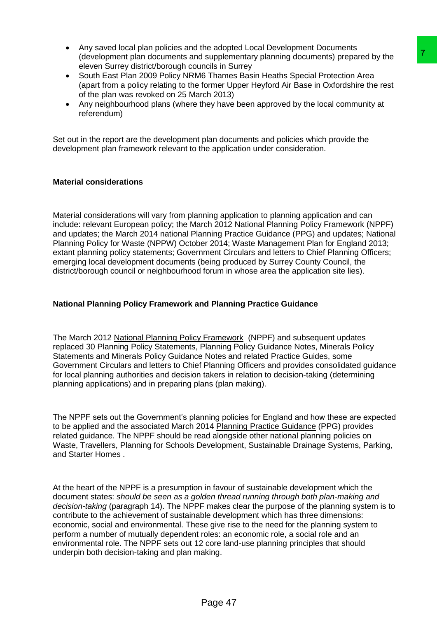- Any saved local plan policies and the adopted Local Development Documents (development plan documents and supplementary planning documents) prepared by the eleven Surrey district/borough councils in Surrey
- South East Plan 2009 Policy NRM6 Thames Basin Heaths Special Protection Area (apart from a policy relating to the former Upper Heyford Air Base in Oxfordshire the rest of the plan was revoked on 25 March 2013)
- Any neighbourhood plans (where they have been approved by the local community at referendum)

Set out in the report are the development plan documents and policies which provide the development plan framework relevant to the application under consideration.

## **Material considerations**

Material considerations will vary from planning application to planning application and can include: relevant European policy; the March 2012 National Planning Policy Framework (NPPF) and updates; the March 2014 national Planning Practice Guidance (PPG) and updates; National Planning Policy for Waste (NPPW) October 2014; Waste Management Plan for England 2013; extant planning policy statements; Government Circulars and letters to Chief Planning Officers; emerging local development documents (being produced by Surrey County Council, the district/borough council or neighbourhood forum in whose area the application site lies).

## **National Planning Policy Framework and Planning Practice Guidance**

The March 2012 National Planning Policy Framework (NPPF) and subsequent updates replaced 30 Planning Policy Statements, Planning Policy Guidance Notes, Minerals Policy Statements and Minerals Policy Guidance Notes and related Practice Guides, some Government Circulars and letters to Chief Planning Officers and provides consolidated guidance for local planning authorities and decision takers in relation to decision-taking (determining planning applications) and in preparing plans (plan making).

The NPPF sets out the Government's planning policies for England and how these are expected to be applied and the associated March 2014 Planning Practice Guidance (PPG) provides related guidance. The NPPF should be read alongside other national planning policies on Waste, Travellers, Planning for Schools Development, Sustainable Drainage Systems, Parking, and Starter Homes .

At the heart of the NPPF is a presumption in favour of sustainable development which the document states: *should be seen as a golden thread running through both plan-making and decision-taking* (paragraph 14). The NPPF makes clear the purpose of the planning system is to contribute to the achievement of sustainable development which has three dimensions: economic, social and environmental. These give rise to the need for the planning system to perform a number of mutually dependent roles: an economic role, a social role and an environmental role. The NPPF sets out 12 core land-use planning principles that should underpin both decision-taking and plan making. Is supplementary planning documents) prepared by the<br>
supplementary planning documents) prepared by the<br>
The Thames Basin Heaths Special Protection Area<br>
for Thames Basin Heaths Special Protection Area<br>
formar Upper Heyfor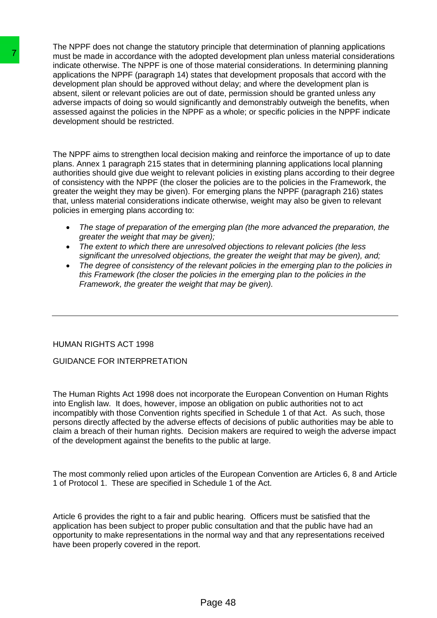The NPPF does not change the statutory principle that determination of planning applications must be made in accordance with the adopted development plan unless material considerations indicate otherwise. The NPPF is one of those material considerations. In determining planning applications the NPPF (paragraph 14) states that development proposals that accord with the development plan should be approved without delay; and where the development plan is absent, silent or relevant policies are out of date, permission should be granted unless any adverse impacts of doing so would significantly and demonstrably outweigh the benefits, when assessed against the policies in the NPPF as a whole; or specific policies in the NPPF indicate development should be restricted. The mast be made in accordance with the adopted dave the papel indicate otherwise. The NPPF is one of those mate applications the NPPF is one of those mate development plan should be approved without delal absolar, slient

The NPPF aims to strengthen local decision making and reinforce the importance of up to date plans. Annex 1 paragraph 215 states that in determining planning applications local planning authorities should give due weight to relevant policies in existing plans according to their degree of consistency with the NPPF (the closer the policies are to the policies in the Framework, the greater the weight they may be given). For emerging plans the NPPF (paragraph 216) states that, unless material considerations indicate otherwise, weight may also be given to relevant policies in emerging plans according to:

- *The stage of preparation of the emerging plan (the more advanced the preparation, the greater the weight that may be given);*
- *The extent to which there are unresolved objections to relevant policies (the less significant the unresolved objections, the greater the weight that may be given), and;*
- *The degree of consistency of the relevant policies in the emerging plan to the policies in this Framework (the closer the policies in the emerging plan to the policies in the Framework, the greater the weight that may be given).*

## HUMAN RIGHTS ACT 1998

## GUIDANCE FOR INTERPRETATION

The Human Rights Act 1998 does not incorporate the European Convention on Human Rights into English law. It does, however, impose an obligation on public authorities not to act incompatibly with those Convention rights specified in Schedule 1 of that Act. As such, those persons directly affected by the adverse effects of decisions of public authorities may be able to claim a breach of their human rights. Decision makers are required to weigh the adverse impact of the development against the benefits to the public at large.

The most commonly relied upon articles of the European Convention are Articles 6, 8 and Article 1 of Protocol 1. These are specified in Schedule 1 of the Act.

Article 6 provides the right to a fair and public hearing. Officers must be satisfied that the application has been subject to proper public consultation and that the public have had an opportunity to make representations in the normal way and that any representations received have been properly covered in the report.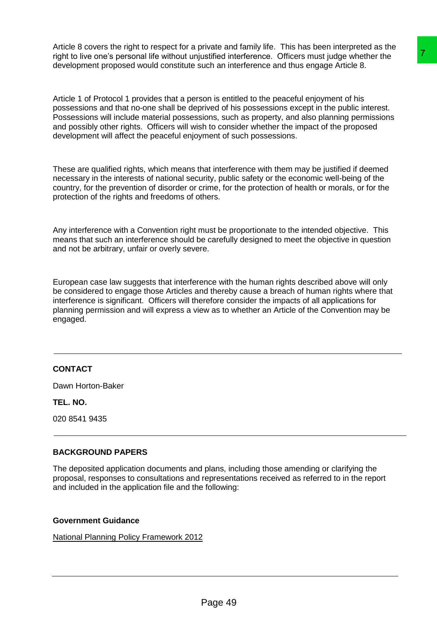Article 8 covers the right to respect for a private and family life. This has been interpreted as the right to live one's personal life without unjustified interference. Officers must judge whether the development proposed would constitute such an interference and thus engage Article 8.

Article 1 of Protocol 1 provides that a person is entitled to the peaceful enjoyment of his possessions and that no-one shall be deprived of his possessions except in the public interest. Possessions will include material possessions, such as property, and also planning permissions and possibly other rights. Officers will wish to consider whether the impact of the proposed development will affect the peaceful enjoyment of such possessions.

These are qualified rights, which means that interference with them may be justified if deemed necessary in the interests of national security, public safety or the economic well-being of the country, for the prevention of disorder or crime, for the protection of health or morals, or for the protection of the rights and freedoms of others.

Any interference with a Convention right must be proportionate to the intended objective. This means that such an interference should be carefully designed to meet the objective in question and not be arbitrary, unfair or overly severe.

European case law suggests that interference with the human rights described above will only be considered to engage those Articles and thereby cause a breach of human rights where that interference is significant. Officers will therefore consider the impacts of all applications for planning permission and will express a view as to whether an Article of the Convention may be engaged. ustified interference. Officers must judge whether the uch an interference and thus engage Article 8.<br>
Non is entitled to the peaceful enjoyment of his moss also has the property in the public interest.<br>
where the property

## **CONTACT**

Dawn Horton-Baker

**TEL. NO.**

020 8541 9435

## **BACKGROUND PAPERS**

The deposited application documents and plans, including those amending or clarifying the proposal, responses to consultations and representations received as referred to in the report and included in the application file and the following:

## **Government Guidance**

[National Planning Policy Framework 2012](http://planningguidance.communities.gov.uk/)